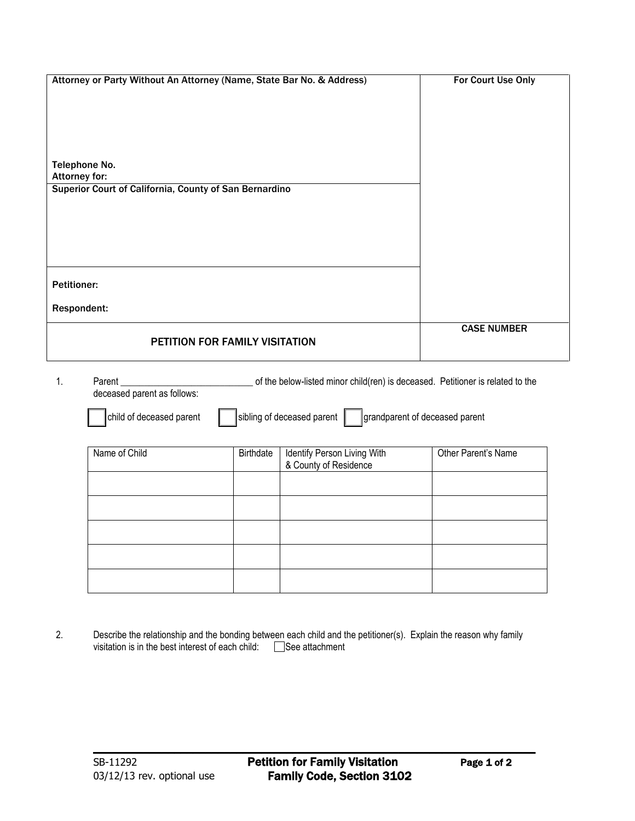| Attorney or Party Without An Attorney (Name, State Bar No. & Address) | For Court Use Only |
|-----------------------------------------------------------------------|--------------------|
|                                                                       |                    |
|                                                                       |                    |
|                                                                       |                    |
|                                                                       |                    |
|                                                                       |                    |
| Telephone No.                                                         |                    |
| <b>Attorney for:</b>                                                  |                    |
| Superior Court of California, County of San Bernardino                |                    |
|                                                                       |                    |
|                                                                       |                    |
|                                                                       |                    |
|                                                                       |                    |
|                                                                       |                    |
| <b>Petitioner:</b>                                                    |                    |
|                                                                       |                    |
| Respondent:                                                           |                    |
|                                                                       |                    |
|                                                                       | <b>CASE NUMBER</b> |
| PETITION FOR FAMILY VISITATION                                        |                    |

1. Parent \_\_\_\_\_\_\_\_\_\_\_\_\_\_\_\_\_\_\_\_\_\_\_\_\_\_\_\_ of the below-listed minor child(ren) is deceased. Petitioner is related to the deceased parent as follows:

child of deceased parent  $\Box$  sibling of deceased parent  $\Box$  grandparent of deceased parent

| Name of Child | Birthdate | Identify Person Living With<br>& County of Residence | Other Parent's Name |
|---------------|-----------|------------------------------------------------------|---------------------|
|               |           |                                                      |                     |
|               |           |                                                      |                     |
|               |           |                                                      |                     |
|               |           |                                                      |                     |
|               |           |                                                      |                     |

2. Describe the relationship and the bonding between each child and the petitioner(s). Explain the reason why family visitation is in the best interest of each child:  $\Box$  See attachment

\_\_\_\_\_\_\_\_\_\_\_\_\_\_\_\_\_\_\_\_\_\_\_\_\_\_\_\_\_\_\_\_\_\_\_\_\_\_\_\_\_\_\_\_\_\_\_\_\_\_\_\_\_\_\_\_\_\_\_\_\_\_\_\_\_\_\_\_\_\_\_